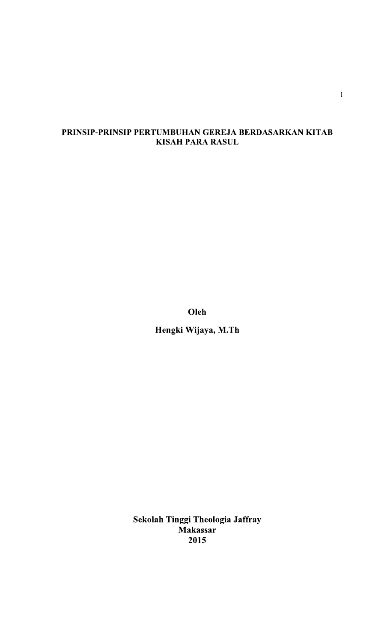# PRINSIP-PRINSIP PERTUMBUHAN GEREJA BERDASARKAN KITAB **KISAH PARA RASUL**

Oleh

Hengki Wijaya, M.Th

Sekolah Tinggi Theologia Jaffray Makassar 2015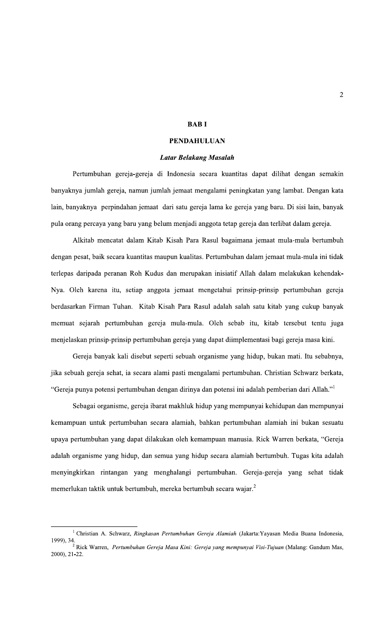#### **BABI**

### **PENDAHULUAN**

#### **Latar Belakang Masalah**

Pertumbuhan gereja-gereja di Indonesia secara kuantitas dapat dilihat dengan semakin banyaknya jumlah gereja, namun jumlah jemaat mengalami peningkatan yang lambat. Dengan kata lain, banyaknya perpindahan jemaat dari satu gereja lama ke gereja yang baru. Di sisi lain, banyak pula orang percaya yang baru yang belum menjadi anggota tetap gereja dan terlibat dalam gereja.

Alkitab mencatat dalam Kitab Kisah Para Rasul bagaimana jemaat mula-mula bertumbuh dengan pesat, baik secara kuantitas maupun kualitas. Pertumbuhan dalam jemaat mula-mula ini tidak terlepas daripada peranan Roh Kudus dan merupakan inisiatif Allah dalam melakukan kehendak-Nya. Oleh karena itu, setiap anggota jemaat mengetahui prinsip-prinsip pertumbuhan gereja berdasarkan Firman Tuhan. Kitab Kisah Para Rasul adalah salah satu kitab yang cukup banyak memuat sejarah pertumbuhan gereja mula-mula. Oleh sebab itu, kitab tersebut tentu juga menjelaskan prinsip-prinsip pertumbuhan gereja yang dapat diimplementasi bagi gereja masa kini.

Gereja banyak kali disebut seperti sebuah organisme yang hidup, bukan mati. Itu sebabnya, jika sebuah gereja sehat, ia secara alami pasti mengalami pertumbuhan. Christian Schwarz berkata, "Gereja punya potensi pertumbuhan dengan dirinya dan potensi ini adalah pemberian dari Allah."<sup>1</sup>

Sebagai organisme, gereja ibarat makhluk hidup yang mempunyai kehidupan dan mempunyai kemampuan untuk pertumbuhan secara alamiah, bahkan pertumbuhan alamiah ini bukan sesuatu upaya pertumbuhan yang dapat dilakukan oleh kemampuan manusia. Rick Warren berkata, "Gereja adalah organisme yang hidup, dan semua yang hidup secara alamiah bertumbuh. Tugas kita adalah menyingkirkan rintangan yang menghalangi pertumbuhan. Gereja-gereja yang sehat tidak memerlukan taktik untuk bertumbuh, mereka bertumbuh secara wajar.<sup>2</sup>

<sup>&</sup>lt;sup>1</sup> Christian A. Schwarz, Ringkasan Pertumbuhan Gereja Alamiah (Jakarta: Yayasan Media Buana Indonesia, 1999), 34.<br><sup>2</sup> Rick Warren, *Pertumbuhan Gereja Masa Kini: Gereja yang mempunyai Visi-Tujuan* (Malang: Gandum Mas,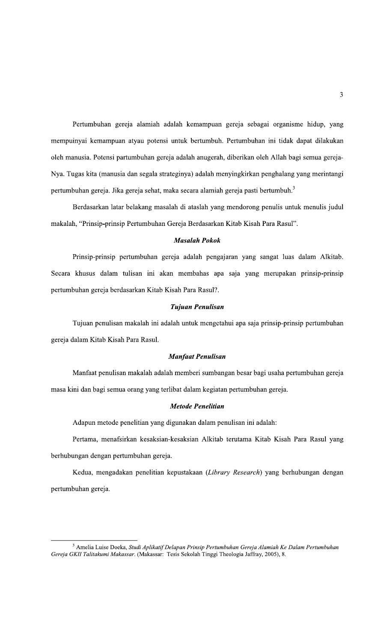Pertumbuhan gereja alamiah adalah kemampuan gereja sebagai organisme hidup, yang mempuinyai kemampuan atyau potensi untuk bertumbuh. Pertumbuhan ini tidak dapat dilakukan oleh manusia. Potensi partumbuhan gereja adalah anugerah, diberikan oleh Allah bagi semua gereja-Nya. Tugas kita (manusia dan segala strateginya) adalah menyingkirkan penghalang yang merintangi pertumbuhan gereja. Jika gereja sehat, maka secara alamiah gereja pasti bertumbuh.<sup>3</sup>

Berdasarkan latar belakang masalah di ataslah yang mendorong penulis untuk menulis judul makalah, "Prinsip-prinsip Pertumbuhan Gereja Berdasarkan Kitab Kisah Para Rasul".

## **Masalah Pokok**

Prinsip-prinsip pertumbuhan gereja adalah pengajaran yang sangat luas dalam Alkitab. Secara khusus dalam tulisan ini akan membahas apa saja yang merupakan prinsip-prinsip pertumbuhan gereja berdasarkan Kitab Kisah Para Rasul?.

#### Tujuan Penulisan

Tujuan penulisan makalah ini adalah untuk mengetahui apa saja prinsip-prinsip pertumbuhan gereja dalam Kitab Kisah Para Rasul.

#### **Manfaat Penulisan**

Manfaat penulisan makalah adalah memberi sumbangan besar bagi usaha pertumbuhan gereja masa kini dan bagi semua orang yang terlibat dalam kegiatan pertumbuhan gereja.

### **Metode Penelitian**

Adapun metode penelitian yang digunakan dalam penulisan ini adalah:

Pertama, menafsirkan kesaksian-kesaksian Alkitab terutama Kitab Kisah Para Rasul yang berhubungan dengan pertumbuhan gereja.

Kedua, mengadakan penelitian kepustakaan (Library Research) yang berhubungan dengan pertumbuhan gereja.

<sup>&</sup>lt;sup>3</sup> Amelia Luise Doeka, Studi Aplikatif Delapan Prinsip Pertumbuhan Gereja Alamiah Ke Dalam Pertumbuhan Gereja GKII Talitakumi Makassar. (Makassar: Tesis Sekolah Tinggi Theologia Jaffray, 2005), 8.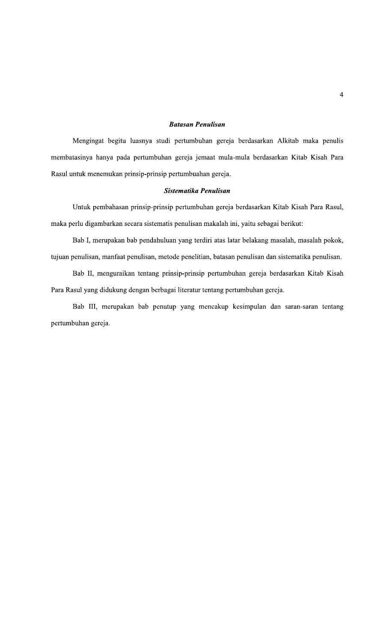## **Batasan Penulisan**

Mengingat begitu luasnya studi pertumbuhan gereja berdasarkan Alkitab maka penulis membatasinya hanya pada pertumbuhan gereja jemaat mula-mula berdasarkan Kitab Kisah Para Rasul untuk menemukan prinsip-prinsip pertumbuahan gereja.

#### Sistematika Penulisan

Untuk pembahasan prinsip-prinsip pertumbuhan gereja berdasarkan Kitab Kisah Para Rasul, maka perlu digambarkan secara sistematis penulisan makalah ini, yaitu sebagai berikut:

Bab I, merupakan bab pendahuluan yang terdiri atas latar belakang masalah, masalah pokok, tujuan penulisan, manfaat penulisan, metode penelitian, batasan penulisan dan sistematika penulisan.

Bab II, menguraikan tentang prinsip-prinsip pertumbuhan gereja berdasarkan Kitab Kisah Para Rasul yang didukung dengan berbagai literatur tentang pertumbuhan gereja.

Bab III, merupakan bab penutup yang mencakup kesimpulan dan saran-saran tentang pertumbuhan gereja.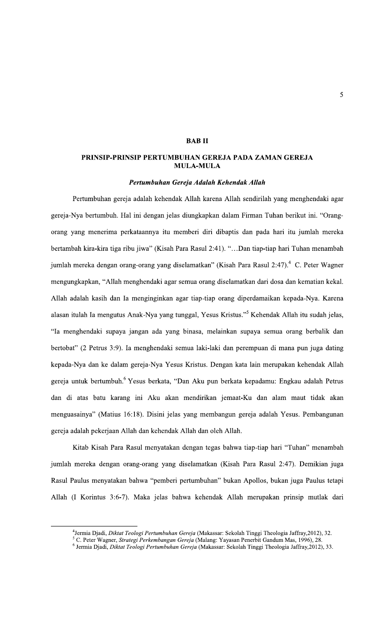## **BABII**

## PRINSIP-PRINSIP PERTUMBUHAN GEREJA PADA ZAMAN GEREJA **MULA-MULA**

#### Pertumbuhan Gereja Adalah Kehendak Allah

Pertumbuhan gereja adalah kehendak Allah karena Allah sendirilah yang menghendaki agar gereja-Nya bertumbuh. Hal ini dengan jelas diungkapkan dalam Firman Tuhan berikut ini. "Orangorang yang menerima perkataannya itu memberi diri dibaptis dan pada hari itu jumlah mereka bertambah kira-kira tiga ribu jiwa" (Kisah Para Rasul 2:41). "...Dan tiap-tiap hari Tuhan menambah jumlah mereka dengan orang-orang yang diselamatkan" (Kisah Para Rasul 2:47).<sup>4</sup> C. Peter Wagner mengungkapkan, "Allah menghendaki agar semua orang diselamatkan dari dosa dan kematian kekal. Allah adalah kasih dan Ia menginginkan agar tiap-tiap orang diperdamaikan kepada-Nya. Karena alasan itulah Ia mengutus Anak-Nya yang tunggal, Yesus Kristus."<sup>5</sup> Kehendak Allah itu sudah jelas, "Ia menghendaki supaya jangan ada yang binasa, melainkan supaya semua orang berbalik dan bertobat" (2 Petrus 3:9). Ia menghendaki semua laki-laki dan perempuan di mana pun juga dating kepada-Nya dan ke dalam gereja-Nya Yesus Kristus. Dengan kata lain merupakan kehendak Allah gereja untuk bertumbuh.<sup>6</sup> Yesus berkata, "Dan Aku pun berkata kepadamu: Engkau adalah Petrus dan di atas batu karang ini Aku akan mendirikan jemaat-Ku dan alam maut tidak akan menguasainya" (Matius 16:18). Disini jelas yang membangun gereja adalah Yesus. Pembangunan gereja adalah pekerjaan Allah dan kehendak Allah dan oleh Allah.

Kitab Kisah Para Rasul menyatakan dengan tegas bahwa tiap-tiap hari "Tuhan" menambah jumlah mereka dengan orang-orang yang diselamatkan (Kisah Para Rasul 2:47). Demikian juga Rasul Paulus menyatakan bahwa "pemberi pertumbuhan" bukan Apollos, bukan juga Paulus tetapi Allah (I Korintus 3:6-7). Maka jelas bahwa kehendak Allah merupakan prinsip mutlak dari

<sup>&</sup>lt;sup>4</sup>Jermia Djadi, Diktat Teologi Pertumbuhan Gereja (Makassar: Sekolah Tinggi Theologia Jaffray, 2012), 32.

<sup>5</sup> C. Peter Wagner, *Strategi Perkembangan Gereja* (Malang: Yayasan Penerbit Gandum Mas, 1996), 28.

<sup>&</sup>lt;sup>6</sup> Jermia Djadi, Diktat Teologi Pertumbuhan Gereja (Makassar: Sekolah Tinggi Theologia Jaffray, 2012), 33.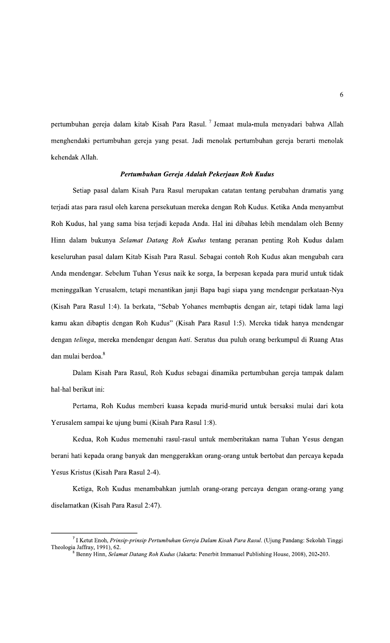pertumbuhan gereja dalam kitab Kisah Para Rasul.<sup>7</sup> Jemaat mula-mula menyadari bahwa Allah menghendaki pertumbuhan gereja yang pesat. Jadi menolak pertumbuhan gereja berarti menolak kehendak Allah.

### Pertumbuhan Gereja Adalah Pekerjaan Roh Kudus

Setiap pasal dalam Kisah Para Rasul merupakan catatan tentang perubahan dramatis yang terjadi atas para rasul oleh karena persekutuan mereka dengan Roh Kudus. Ketika Anda menyambut Roh Kudus, hal yang sama bisa terjadi kepada Anda. Hal ini dibahas lebih mendalam oleh Benny Hinn dalam bukunya Selamat Datang Roh Kudus tentang peranan penting Roh Kudus dalam keseluruhan pasal dalam Kitab Kisah Para Rasul. Sebagai contoh Roh Kudus akan mengubah cara Anda mendengar. Sebelum Tuhan Yesus naik ke sorga, Ia berpesan kepada para murid untuk tidak meninggalkan Yerusalem, tetapi menantikan janji Bapa bagi siapa yang mendengar perkataan-Nya (Kisah Para Rasul 1:4). Ia berkata, "Sebab Yohanes membaptis dengan air, tetapi tidak lama lagi kamu akan dibaptis dengan Roh Kudus" (Kisah Para Rasul 1:5). Mereka tidak hanya mendengar dengan telinga, mereka mendengar dengan hati. Seratus dua puluh orang berkumpul di Ruang Atas dan mulai berdoa.<sup>8</sup>

Dalam Kisah Para Rasul, Roh Kudus sebagai dinamika pertumbuhan gereja tampak dalam hal-hal berikut ini:

Pertama, Roh Kudus memberi kuasa kepada murid-murid untuk bersaksi mulai dari kota Yerusalem sampai ke ujung bumi (Kisah Para Rasul 1:8).

Kedua, Roh Kudus memenuhi rasul-rasul untuk memberitakan nama Tuhan Yesus dengan berani hati kepada orang banyak dan menggerakkan orang-orang untuk bertobat dan percaya kepada Yesus Kristus (Kisah Para Rasul 2-4).

Ketiga, Roh Kudus menambahkan jumlah orang-orang percaya dengan orang-orang yang diselamatkan (Kisah Para Rasul 2:47).

<sup>7</sup> I Ketut Enoh, Prinsip-prinsip Pertumbuhan Gereja Dalam Kisah Para Rasul. (Ujung Pandang: Sekolah Tinggi Theologia Jaffray, 1991), 62.

Benny Hinn, Selamat Datang Roh Kudus (Jakarta: Penerbit Immanuel Publishing House, 2008), 202-203.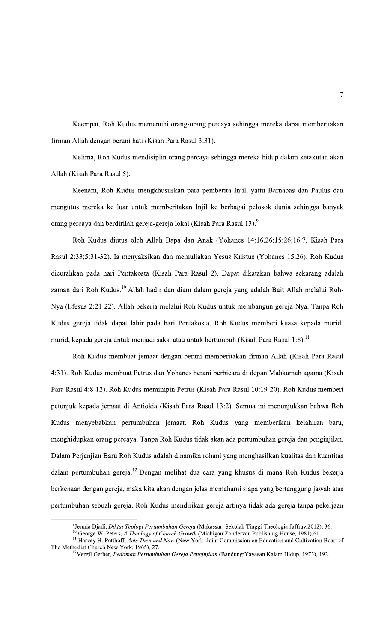Keempat, Roh Kudus memenuhi orang-orang percaya sehingga mereka dapat memberitakan firman Allah dengan berani hati (Kisah Para Rasul 3:31).

Kelima, Roh Kudus mendisiplin orang percaya sehingga mereka hidup dalam ketakutan akan Allah (Kisah Para Rasul 5).

Keenam, Roh Kudus mengkhususkan para pemberita Injil, yaitu Barnabas dan Paulus dan mengutus mereka ke luar untuk memberitakan Injil ke berbagai pelosok dunia sehingga banyak orang percaya dan berdirilah gereja-gereja lokal (Kisah Para Rasul 13).<sup>9</sup>

Roh Kudus diutus oleh Allah Bapa dan Anak (Yohanes 14:16,26;15:26;16:7, Kisah Para Rasul 2:33;5:31-32). Ia menyaksikan dan memuliakan Yesus Kristus (Yohanes 15:26). Roh Kudus dicurahkan pada hari Pentakosta (Kisah Para Rasul 2). Dapat dikatakan bahwa sekarang adalah zaman dari Roh Kudus.<sup>10</sup> Allah hadir dan diam dalam gereja yang adalah Bait Allah melalui Roh-Nya (Efesus 2:21-22). Allah bekerja melalui Roh Kudus untuk membangun gereja-Nya. Tanpa Roh Kudus gereja tidak dapat lahir pada hari Pentakosta. Roh Kudus memberi kuasa kepada muridmurid, kepada gereja untuk menjadi saksi atau untuk bertumbuh (Kisah Para Rasul 1:8).<sup>11</sup>

Roh Kudus membuat jemaat dengan berani memberitakan firman Allah (Kisah Para Rasul 4:31). Roh Kudus membuat Petrus dan Yohanes berani berbicara di depan Mahkamah agama (Kisah Para Rasul 4:8-12). Roh Kudus memimpin Petrus (Kisah Para Rasul 10:19-20). Roh Kudus memberi petunjuk kepada jemaat di Antiokia (Kisah Para Rasul 13:2). Semua ini menunjukkan bahwa Roh Kudus menyebabkan pertumbuhan jemaat. Roh Kudus yang memberikan kelahiran baru, menghidupkan orang percaya. Tanpa Roh Kudus tidak akan ada pertumbuhan gereja dan penginjilan. Dalam Perjanjian Baru Roh Kudus adalah dinamika rohani yang menghasilkan kualitas dan kuantitas dalam pertumbuhan gereja.<sup>12</sup> Dengan melihat dua cara yang khusus di mana Roh Kudus bekerja berkenaan dengan gereja, maka kita akan dengan jelas memahami siapa yang bertanggung jawab atas pertumbuhan sebuah gereja. Roh Kudus mendirikan gereja artinya tidak ada gereja tanpa pekerjaan

<sup>&</sup>lt;sup>9</sup>Jermia Djadi, *Diktat Teologi Pertumbuhan Gereja* (Makassar: Sekolah Tinggi Theologia Jaffray,2012), 36.

<sup>&</sup>lt;sup>10</sup> George W. Peters, A Theology of Church Growth (Michigan:Zondervan Publishing House, 1981),61.

<sup>&</sup>lt;sup>11</sup> Harvey H. Potthoff, Acts Then and Now (New York: Joint Commission on Education and Cultivation Boart of The Methodist Church New York, 1965), 27.

<sup>&</sup>lt;sup>12</sup>Vergil Gerber, Pedoman Pertumbuhan Gereja Penginjilan (Bandung:Yayasan Kalam Hidup, 1973), 192.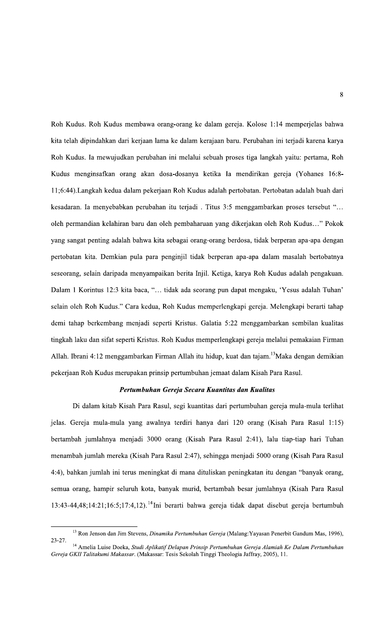Roh Kudus. Roh Kudus membawa orang-orang ke dalam gereja. Kolose 1:14 memperjelas bahwa kita telah dipindahkan dari kerjaan lama ke dalam kerajaan baru. Perubahan ini terjadi karena karya Roh Kudus. Ia mewujudkan perubahan ini melalui sebuah proses tiga langkah yaitu: pertama, Roh Kudus menginsafkan orang akan dosa-dosanya ketika Ia mendirikan gereja (Yohanes 16:8-11;6:44).Langkah kedua dalam pekerjaan Roh Kudus adalah pertobatan. Pertobatan adalah buah dari kesadaran. Ia menyebabkan perubahan itu terjadi . Titus 3:5 menggambarkan proses tersebut "... oleh permandian kelahiran baru dan oleh pembaharuan yang dikerjakan oleh Roh Kudus..." Pokok yang sangat penting adalah bahwa kita sebagai orang-orang berdosa, tidak berperan apa-apa dengan pertobatan kita. Demkian pula para penginjil tidak berperan apa-apa dalam masalah bertobatnya seseorang, selain daripada menyampaikan berita Injil. Ketiga, karya Roh Kudus adalah pengakuan. Dalam 1 Korintus 12:3 kita baca, "... tidak ada seorang pun dapat mengaku, 'Yesus adalah Tuhan' selain oleh Roh Kudus." Cara kedua, Roh Kudus memperlengkapi gereja. Melengkapi berarti tahap demi tahap berkembang menjadi seperti Kristus. Galatia 5:22 menggambarkan sembilan kualitas tingkah laku dan sifat seperti Kristus. Roh Kudus memperlengkapi gereja melalui pemakaian Firman Allah. Ibrani 4:12 menggambarkan Firman Allah itu hidup, kuat dan tajam.<sup>13</sup>Maka dengan demikian pekerjaan Roh Kudus merupakan prinsip pertumbuhan jemaat dalam Kisah Para Rasul.

#### Pertumbuhan Gereja Secara Kuantitas dan Kualitas

Di dalam kitab Kisah Para Rasul, segi kuantitas dari pertumbuhan gereja mula-mula terlihat jelas. Gereja mula-mula yang awalnya terdiri hanya dari 120 orang (Kisah Para Rasul 1:15) bertambah jumlahnya menjadi 3000 orang (Kisah Para Rasul 2:41), lalu tiap-tiap hari Tuhan menambah jumlah mereka (Kisah Para Rasul 2:47), sehingga menjadi 5000 orang (Kisah Para Rasul 4:4), bahkan jumlah ini terus meningkat di mana dituliskan peningkatan itu dengan "banyak orang, semua orang, hampir seluruh kota, banyak murid, bertambah besar jumlahnya (Kisah Para Rasul 13:43-44,48;14:21;16:5;17:4,12).<sup>14</sup>Ini berarti bahwa gereja tidak dapat disebut gereja bertumbuh

<sup>&</sup>lt;sup>13</sup> Ron Jenson dan Jim Stevens, *Dinamika Pertumbuhan Gereja* (Malang: Yayasan Penerbit Gandum Mas, 1996),  $23 - 27$ .

<sup>&</sup>lt;sup>14</sup> Amelia Luise Doeka, Studi Aplikatif Delapan Prinsip Pertumbuhan Gereja Alamiah Ke Dalam Pertumbuhan Gereja GKII Talitakumi Makassar. (Makassar: Tesis Sekolah Tinggi Theologia Jaffray, 2005), 11.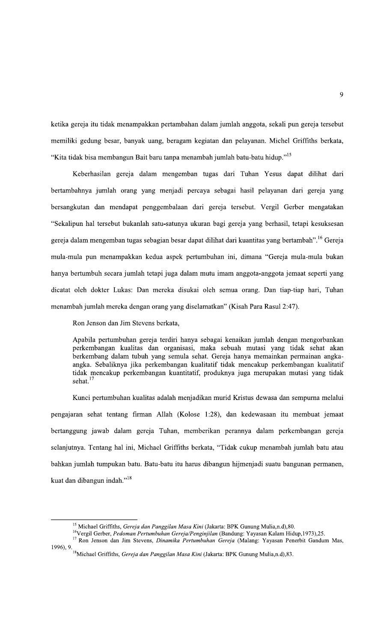ketika gereja itu tidak menampakkan pertambahan dalam jumlah anggota, sekali pun gereja tersebut memiliki gedung besar, banyak uang, beragam kegiatan dan pelayanan. Michel Griffiths berkata, "Kita tidak bisa membangun Bait baru tanpa menambah jumlah batu-batu hidup."<sup>15</sup>

Keberhasilan gereja dalam mengemban tugas dari Tuhan Yesus dapat dilihat dari bertambahnya jumlah orang yang menjadi percaya sebagai hasil pelayanan dari gereja yang bersangkutan dan mendapat penggembalaan dari gereja tersebut. Vergil Gerber mengatakan "Sekalipun hal tersebut bukanlah satu-satunya ukuran bagi gereja yang berhasil, tetapi kesuksesan gereja dalam mengemban tugas sebagian besar dapat dilihat dari kuantitas yang bertambah". <sup>16</sup> Gereja mula-mula pun menampakkan kedua aspek pertumbuhan ini, dimana "Gereja mula-mula bukan hanya bertumbuh secara jumlah tetapi juga dalam mutu imam anggota-anggota jemaat seperti yang dicatat oleh dokter Lukas: Dan mereka disukai oleh semua orang. Dan tiap-tiap hari, Tuhan menambah jumlah mereka dengan orang yang diselamatkan" (Kisah Para Rasul 2:47).

Ron Jenson dan Jim Stevens berkata,

Apabila pertumbuhan gereja terdiri hanya sebagai kenaikan jumlah dengan mengorbankan perkembangan kualitas dan organisasi, maka sebuah mutasi yang tidak sehat akan berkembang dalam tubuh yang semula sehat. Gereja hanya memainkan permainan angkaangka. Sebaliknya jika perkembangan kualitatif tidak mencakup perkembangan kualitatif tidak mencakup perkembangan kuantitatif, produknya juga merupakan mutasi yang tidak sehat. $17$ 

Kunci pertumbuhan kualitas adalah menjadikan murid Kristus dewasa dan sempurna melalui pengajaran sehat tentang firman Allah (Kolose 1:28), dan kedewasaan itu membuat jemaat bertanggung jawab dalam gereja Tuhan, memberikan perannya dalam perkembangan gereja selanjutnya. Tentang hal ini, Michael Griffiths berkata, "Tidak cukup menambah jumlah batu atau bahkan jumlah tumpukan batu. Batu-batu itu harus dibangun hijmenjadi suatu bangunan permanen, kuat dan dibangun indah."<sup>18</sup>

<sup>&</sup>lt;sup>15</sup> Michael Griffiths, Gereja dan Panggilan Masa Kini (Jakarta: BPK Gunung Mulia,n.d),80.

<sup>&</sup>lt;sup>16</sup>Vergil Gerber, Pedoman Pertumbuhan Gereja/Penginjilan (Bandung: Yayasan Kalam Hidup, 1973), 25.

<sup>&</sup>lt;sup>17</sup> Ron Jenson dan Jim Stevens, Dinamika Pertumbuhan Gereja (Malang: Yayasan Penerbit Gandum Mas, 1996), 9.<br><sup>18</sup>Michael Griffiths, Gereja dan Panggilan Masa Kini (Jakarta: BPK Gunung Mulia,n.d), 83.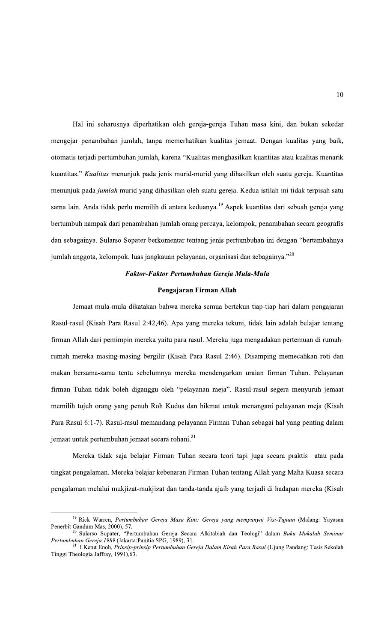Hal ini seharusnya diperhatikan oleh gereja-gereja Tuhan masa kini, dan bukan sekedar mengejar penambahan jumlah, tanpa memerhatikan kualitas jemaat. Dengan kualitas yang baik, otomatis terjadi pertumbuhan jumlah, karena "Kualitas menghasilkan kuantitas atau kualitas menarik kuantitas." Kualitas menunjuk pada jenis murid-murid yang dihasilkan oleh suatu gereja. Kuantitas menunjuk pada jumlah murid yang dihasilkan oleh suatu gereja. Kedua istilah ini tidak terpisah satu sama lain. Anda tidak perlu memilih di antara keduanya.<sup>19</sup> Aspek kuantitas dari sebuah gereja yang bertumbuh nampak dari penambahan jumlah orang percaya, kelompok, penambahan secara geografis dan sebagainya. Sularso Sopater berkomentar tentang jenis pertumbuhan ini dengan "bertambahnya jumlah anggota, kelompok, luas jangkauan pelayanan, organisasi dan sebagainya."<sup>20</sup>

## Faktor-Faktor Pertumbuhan Gereja Mula-Mula

#### Pengajaran Firman Allah

Jemaat mula-mula dikatakan bahwa mereka semua bertekun tiap-tiap hari dalam pengajaran Rasul-rasul (Kisah Para Rasul 2:42,46). Apa yang mereka tekuni, tidak lain adalah belajar tentang firman Allah dari pemimpin mereka yaitu para rasul. Mereka juga mengadakan pertemuan di rumahrumah mereka masing-masing bergilir (Kisah Para Rasul 2:46). Disamping memecahkan roti dan makan bersama-sama tentu sebelumnya mereka mendengarkan uraian firman Tuhan. Pelayanan firman Tuhan tidak boleh diganggu oleh "pelayanan meja". Rasul-rasul segera menyuruh jemaat memilih tujuh orang yang penuh Roh Kudus dan hikmat untuk menangani pelayanan meja (Kisah Para Rasul 6:1-7). Rasul-rasul memandang pelayanan Firman Tuhan sebagai hal yang penting dalam jemaat untuk pertumbuhan jemaat secara rohani.<sup>21</sup>

Mereka tidak saja belajar Firman Tuhan secara teori tapi juga secara praktis atau pada tingkat pengalaman. Mereka belajar kebenaran Firman Tuhan tentang Allah yang Maha Kuasa secara pengalaman melalui mukjizat-mukjizat dan tanda-tanda ajaib yang terjadi di hadapan mereka (Kisah

<sup>&</sup>lt;sup>19</sup> Rick Warren, Pertumbuhan Gereja Masa Kini: Gereja yang mempunyai Visi-Tujuan (Malang: Yayasan Penerbit Gandum Mas, 2000), 57.

Sularso Sopater, "Pertumbuhan Gereja Secara Alkitabiah dan Teologi" dalam Buku Makalah Seminar Pertumbuhan Gereja 1989 (Jakarta:Panitia SPG, 1989), 31.

<sup>&</sup>lt;sup>21</sup> I Ketut Enoh, Prinsip-prinsip Pertumbuhan Gereja Dalam Kisah Para Rasul (Ujung Pandang: Tesis Sekolah Tinggi Theologia Jaffray, 1991),63.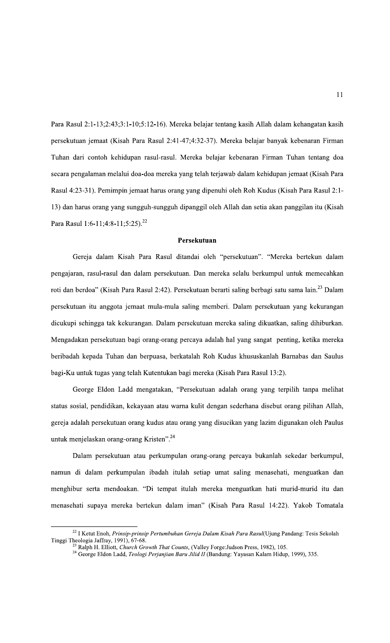Para Rasul 2:1-13;2:43;3:1-10;5:12-16). Mereka belajar tentang kasih Allah dalam kehangatan kasih persekutuan jemaat (Kisah Para Rasul 2:41-47;4:32-37). Mereka belajar banyak kebenaran Firman Tuhan dari contoh kehidupan rasul-rasul. Mereka belajar kebenaran Firman Tuhan tentang doa secara pengalaman melalui doa-doa mereka yang telah terjawab dalam kehidupan jemaat (Kisah Para Rasul 4:23-31). Pemimpin jemaat harus orang yang dipenuhi oleh Roh Kudus (Kisah Para Rasul 2:1-13) dan harus orang yang sungguh-sungguh dipanggil oleh Allah dan setia akan panggilan itu (Kisah Para Rasul 1:6-11;4:8-11;5:25).<sup>22</sup>

#### Persekutuan

Gereja dalam Kisah Para Rasul ditandai oleh "persekutuan". "Mereka bertekun dalam pengajaran, rasul-rasul dan dalam persekutuan. Dan mereka selalu berkumpul untuk memecahkan roti dan berdoa" (Kisah Para Rasul 2:42). Persekutuan berarti saling berbagi satu sama lain.<sup>23</sup> Dalam persekutuan itu anggota jemaat mula-mula saling memberi. Dalam persekutuan yang kekurangan dicukupi sehingga tak kekurangan. Dalam persekutuan mereka saling dikuatkan, saling dihiburkan. Mengadakan persekutuan bagi orang-orang percaya adalah hal yang sangat penting, ketika mereka beribadah kepada Tuhan dan berpuasa, berkatalah Roh Kudus khususkanlah Barnabas dan Saulus bagi-Ku untuk tugas yang telah Kutentukan bagi mereka (Kisah Para Rasul 13:2).

George Eldon Ladd mengatakan, "Persekutuan adalah orang yang terpilih tanpa melihat status sosial, pendidikan, kekayaan atau warna kulit dengan sederhana disebut orang pilihan Allah, gereja adalah persekutuan orang kudus atau orang yang disucikan yang lazim digunakan oleh Paulus untuk menjelaskan orang-orang Kristen".<sup>24</sup>

Dalam persekutuan atau perkumpulan orang-orang percaya bukanlah sekedar berkumpul, namun di dalam perkumpulan ibadah itulah setiap umat saling menasehati, menguatkan dan menghibur serta mendoakan. "Di tempat itulah mereka menguatkan hati murid-murid itu dan menasehati supaya mereka bertekun dalam iman" (Kisah Para Rasul 14:22). Yakob Tomatala

<sup>&</sup>lt;sup>22</sup> I Ketut Enoh, Prinsip-prinsip Pertumbuhan Gereja Dalam Kisah Para Rasul(Ujung Pandang: Tesis Sekolah Tinggi Theologia Jaffray, 1991), 67-68.

<sup>&</sup>lt;sup>23</sup> Ralph H. Elliott, Church Growth That Counts, (Valley Forge:Judson Press, 1982), 105.

<sup>&</sup>lt;sup>24</sup> George Eldon Ladd, Teologi Perjanjian Baru Jilid II (Bandung: Yayasan Kalam Hidup, 1999), 335.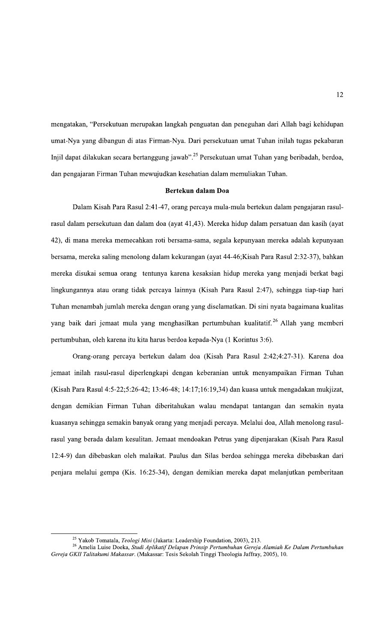mengatakan, "Persekutuan merupakan langkah penguatan dan peneguhan dari Allah bagi kehidupan umat-Nya yang dibangun di atas Firman-Nya. Dari persekutuan umat Tuhan inilah tugas pekabaran Injil dapat dilakukan secara bertanggung jawab".<sup>25</sup> Persekutuan umat Tuhan yang beribadah, berdoa, dan pengajaran Firman Tuhan mewujudkan kesehatian dalam memuliakan Tuhan.

### Bertekun dalam Doa

Dalam Kisah Para Rasul 2:41-47, orang percaya mula-mula bertekun dalam pengajaran rasulrasul dalam persekutuan dan dalam doa (ayat 41,43). Mereka hidup dalam persatuan dan kasih (ayat 42), di mana mereka memecahkan roti bersama-sama, segala kepunyaan mereka adalah kepunyaan bersama, mereka saling menolong dalam kekurangan (ayat 44-46;Kisah Para Rasul 2:32-37), bahkan mereka disukai semua orang tentunya karena kesaksian hidup mereka yang menjadi berkat bagi lingkungannya atau orang tidak percaya lainnya (Kisah Para Rasul 2:47), sehingga tiap-tiap hari Tuhan menambah jumlah mereka dengan orang yang diselamatkan. Di sini nyata bagaimana kualitas yang baik dari jemaat mula yang menghasilkan pertumbuhan kualitatif.<sup>26</sup> Allah yang memberi pertumbuhan, oleh karena itu kita harus berdoa kepada-Nya (1 Korintus 3:6).

Orang-orang percaya bertekun dalam doa (Kisah Para Rasul 2:42;4:27-31). Karena doa jemaat inilah rasul-rasul diperlengkapi dengan keberanian untuk menyampaikan Firman Tuhan (Kisah Para Rasul 4:5-22;5:26-42; 13:46-48; 14:17;16:19,34) dan kuasa untuk mengadakan mukjizat, dengan demikian Firman Tuhan diberitahukan walau mendapat tantangan dan semakin nyata kuasanya sehingga semakin banyak orang yang menjadi percaya. Melalui doa, Allah menolong rasulrasul yang berada dalam kesulitan. Jemaat mendoakan Petrus yang dipenjarakan (Kisah Para Rasul 12:4-9) dan dibebaskan oleh malaikat. Paulus dan Silas berdoa sehingga mereka dibebaskan dari penjara melalui gempa (Kis. 16:25-34), dengan demikian mereka dapat melanjutkan pemberitaan

<sup>&</sup>lt;sup>25</sup> Yakob Tomatala, *Teologi Misi* (Jakarta: Leadership Foundation, 2003), 213.<br><sup>26</sup> Amelia Luise Doeka, *Studi Aplikatif Delapan Prinsip Pertumbuhan Gereja Alamiah Ke Dalam Pertumbuhan* Gereja GKII Talitakumi Makassar. (Makassar: Tesis Sekolah Tinggi Theologia Jaffray, 2005), 10.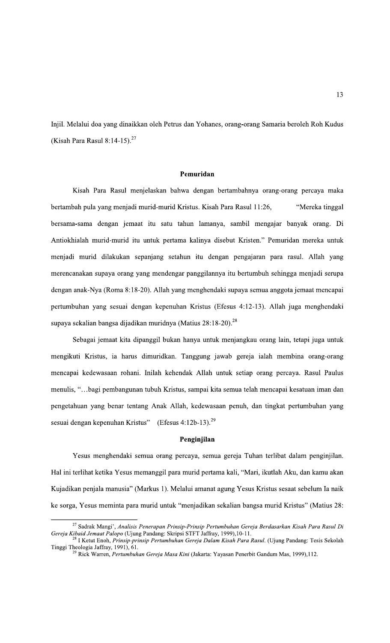Injil. Melalui doa yang dinaikkan oleh Petrus dan Yohanes, orang-orang Samaria beroleh Roh Kudus (Kisah Para Rasul 8:14-15).<sup>27</sup>

## Pemuridan

Kisah Para Rasul menjelaskan bahwa dengan bertambahnya orang-orang percaya maka bertambah pula yang menjadi murid-murid Kristus. Kisah Para Rasul 11:26, "Mereka tinggal bersama-sama dengan jemaat itu satu tahun lamanya, sambil mengajar banyak orang. Di Antiokhialah murid-murid itu untuk pertama kalinya disebut Kristen." Pemuridan mereka untuk menjadi murid dilakukan sepanjang setahun itu dengan pengajaran para rasul. Allah yang merencanakan supaya orang yang mendengar panggilannya itu bertumbuh sehingga menjadi serupa dengan anak-Nya (Roma 8:18-20). Allah yang menghendaki supaya semua anggota jemaat mencapai pertumbuhan yang sesuai dengan kepenuhan Kristus (Efesus 4:12-13). Allah juga menghendaki supaya sekalian bangsa dijadikan muridnya (Matius 28:18-20).<sup>28</sup>

Sebagai jemaat kita dipanggil bukan hanya untuk menjangkau orang lain, tetapi juga untuk mengikuti Kristus, ia harus dimuridkan. Tanggung jawab gereja ialah membina orang-orang mencapai kedewasaan rohani. Inilah kehendak Allah untuk setiap orang percaya. Rasul Paulus menulis, "...bagi pembangunan tubuh Kristus, sampai kita semua telah mencapai kesatuan iman dan pengetahuan yang benar tentang Anak Allah, kedewasaan penuh, dan tingkat pertumbuhan yang sesuai dengan kepenuhan Kristus" (Efesus 4:12b-13).<sup>29</sup>

#### Penginjilan

Yesus menghendaki semua orang percaya, semua gereja Tuhan terlibat dalam penginjilan. Hal ini terlihat ketika Yesus memanggil para murid pertama kali, "Mari, ikutlah Aku, dan kamu akan Kujadikan penjala manusia" (Markus 1). Melalui amanat agung Yesus Kristus sesaat sebelum Ia naik ke sorga, Yesus meminta para murid untuk "menjadikan sekalian bangsa murid Kristus" (Matius 28:

 $27$  Sadrak Mangi', Analisis Penerapan Prinsip-Prinsip Pertumbuhan Gereja Berdasarkan Kisah Para Rasul Di Gereja Kibaid Jemaat Palopo (Ujung Pandang: Skripsi STFT Jaffray, 1999), 10-11.

I Ketut Enoh, Prinsip-prinsip Pertumbuhan Gereja Dalam Kisah Para Rasul. (Ujung Pandang: Tesis Sekolah Tinggi Theologia Jaffray, 1991), 61.

<sup>&</sup>lt;sup>9</sup> Rick Warren, Pertumbuhan Gereja Masa Kini (Jakarta: Yayasan Penerbit Gandum Mas, 1999),112.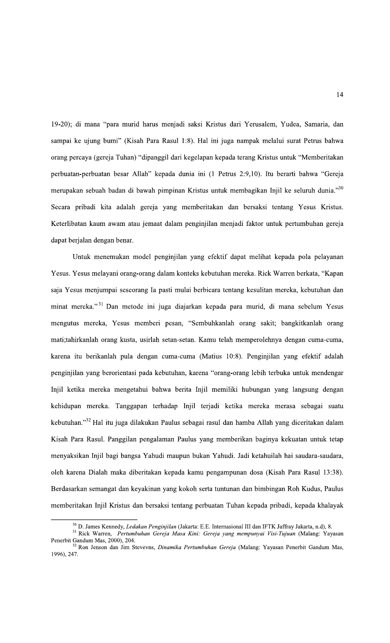19-20); di mana "para murid harus menjadi saksi Kristus dari Yerusalem, Yudea, Samaria, dan sampai ke ujung bumi" (Kisah Para Rasul 1:8). Hal ini juga nampak melalui surat Petrus bahwa orang percaya (gereja Tuhan) "dipanggil dari kegelapan kepada terang Kristus untuk "Memberitakan perbuatan-perbuatan besar Allah" kepada dunia ini (1 Petrus 2:9,10). Itu berarti bahwa "Gereja merupakan sebuah badan di bawah pimpinan Kristus untuk membagikan Injil ke seluruh dunia."30 Secara pribadi kita adalah gereja yang memberitakan dan bersaksi tentang Yesus Kristus. Keterlibatan kaum awam atau jemaat dalam penginjilan menjadi faktor untuk pertumbuhan gereja dapat berjalan dengan benar.

Untuk menemukan model penginjilan yang efektif dapat melihat kepada pola pelayanan Yesus. Yesus melayani orang-orang dalam konteks kebutuhan mereka. Rick Warren berkata, "Kapan saja Yesus menjumpai seseorang Ia pasti mulai berbicara tentang kesulitan mereka, kebutuhan dan minat mereka."<sup>31</sup> Dan metode ini juga diajarkan kepada para murid, di mana sebelum Yesus mengutus mereka, Yesus memberi pesan, "Sembuhkanlah orang sakit; bangkitkanlah orang mati;tahirkanlah orang kusta, usirlah setan-setan. Kamu telah memperolehnya dengan cuma-cuma, karena itu berikanlah pula dengan cuma-cuma (Matius 10:8). Penginjilan yang efektif adalah penginjilan yang berorientasi pada kebutuhan, karena "orang-orang lebih terbuka untuk mendengar Injil ketika mereka mengetahui bahwa berita Injil memiliki hubungan yang langsung dengan kehidupan mereka. Tanggapan terhadap Injil terjadi ketika mereka merasa sebagai suatu kebutuhan."<sup>32</sup> Hal itu juga dilakukan Paulus sebagai rasul dan hamba Allah yang diceritakan dalam Kisah Para Rasul. Panggilan pengalaman Paulus yang memberikan baginya kekuatan untuk tetap menyaksikan Injil bagi bangsa Yahudi maupun bukan Yahudi. Jadi ketahuilah hai saudara-saudara, oleh karena Dialah maka diberitakan kepada kamu pengampunan dosa (Kisah Para Rasul 13:38). Berdasarkan semangat dan keyakinan yang kokoh serta tuntunan dan bimbingan Roh Kudus, Paulus memberitakan Injil Kristus dan bersaksi tentang perbuatan Tuhan kepada pribadi, kepada khalayak

<sup>&</sup>lt;sup>30</sup> D. James Kennedy, Ledakan Penginjilan (Jakarta: E.E. Internasional III dan IFTK Jaffray Jakarta, n.d), 8.

<sup>&</sup>lt;sup>31</sup> Rick Warren, Pertumbuhan Gereja Masa Kini: Gereja yang mempunyai Visi-Tujuan (Malang: Yayasan Penerbit Gandum Mas, 2000), 204.<br><sup>32</sup> Ron Jenson dan Jim Stevevns, *Dinamika Pertumbuhan Gereja* (Malang: Yayasan Penerbit Gandum Mas,

<sup>1996), 247.</sup>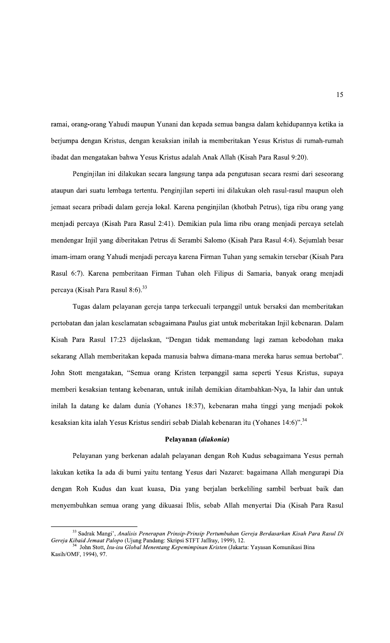ramai, orang-orang Yahudi maupun Yunani dan kepada semua bangsa dalam kehidupannya ketika ia berjumpa dengan Kristus, dengan kesaksian inilah ia memberitakan Yesus Kristus di rumah-rumah ibadat dan mengatakan bahwa Yesus Kristus adalah Anak Allah (Kisah Para Rasul 9:20).

Penginjilan ini dilakukan secara langsung tanpa ada pengutusan secara resmi dari seseorang ataupun dari suatu lembaga tertentu. Penginjilan seperti ini dilakukan oleh rasul-rasul maupun oleh jemaat secara pribadi dalam gereja lokal. Karena penginjilan (khotbah Petrus), tiga ribu orang yang menjadi percaya (Kisah Para Rasul 2:41). Demikian pula lima ribu orang menjadi percaya setelah mendengar Injil yang diberitakan Petrus di Serambi Salomo (Kisah Para Rasul 4:4). Sejumlah besar imam-imam orang Yahudi menjadi percaya karena Firman Tuhan yang semakin tersebar (Kisah Para Rasul 6:7). Karena pemberitaan Firman Tuhan oleh Filipus di Samaria, banyak orang menjadi percaya (Kisah Para Rasul 8:6).<sup>33</sup>

Tugas dalam pelayanan gereja tanpa terkecuali terpanggil untuk bersaksi dan memberitakan pertobatan dan jalan keselamatan sebagaimana Paulus giat untuk meberitakan Injil kebenaran. Dalam Kisah Para Rasul 17:23 dijelaskan, "Dengan tidak memandang lagi zaman kebodohan maka sekarang Allah memberitakan kepada manusia bahwa dimana-mana mereka harus semua bertobat". John Stott mengatakan, "Semua orang Kristen terpanggil sama seperti Yesus Kristus, supaya memberi kesaksian tentang kebenaran, untuk inilah demikian ditambahkan-Nya, Ia lahir dan untuk inilah Ia datang ke dalam dunia (Yohanes 18:37), kebenaran maha tinggi yang menjadi pokok kesaksian kita ialah Yesus Kristus sendiri sebab Dialah kebenaran itu (Yohanes 14:6)".<sup>34</sup>

#### Pelayanan (diakonia)

Pelayanan yang berkenan adalah pelayanan dengan Roh Kudus sebagaimana Yesus pernah lakukan ketika Ia ada di bumi yaitu tentang Yesus dari Nazaret: bagaimana Allah mengurapi Dia dengan Roh Kudus dan kuat kuasa, Dia yang berjalan berkeliling sambil berbuat baik dan menyembuhkan semua orang yang dikuasai Iblis, sebab Allah menyertai Dia (Kisah Para Rasul

<sup>33</sup> Sadrak Mangi', Analisis Penerapan Prinsip-Prinsip Pertumbuhan Gereja Berdasarkan Kisah Para Rasul Di Gereja Kibaid Jemaat Palopo (Ujung Pandang: Skripsi STFT Jaffray, 1999), 12.

John Stott, Isu-isu Global Menentang Kepemimpinan Kristen (Jakarta: Yayasan Komunikasi Bina Kasih/OMF, 1994), 97.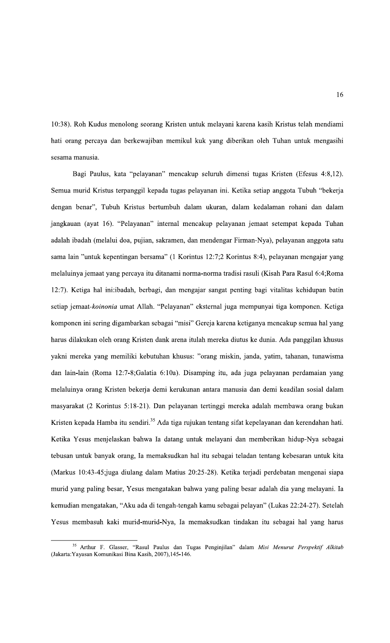10:38). Roh Kudus menolong seorang Kristen untuk melayani karena kasih Kristus telah mendiami hati orang percaya dan berkewajiban memikul kuk yang diberikan oleh Tuhan untuk mengasihi sesama manusia.

Bagi Paulus, kata "pelayanan" mencakup seluruh dimensi tugas Kristen (Efesus 4:8,12). Semua murid Kristus terpanggil kepada tugas pelayanan ini. Ketika setiap anggota Tubuh "bekerja dengan benar", Tubuh Kristus bertumbuh dalam ukuran, dalam kedalaman rohani dan dalam jangkauan (ayat 16). "Pelayanan" internal mencakup pelayanan jemaat setempat kepada Tuhan adalah ibadah (melalui doa, pujian, sakramen, dan mendengar Firman-Nya), pelayanan anggota satu sama lain "untuk kepentingan bersama" (1 Korintus 12:7;2 Korintus 8:4), pelayanan mengajar yang melaluinya jemaat yang percaya itu ditanami norma-norma tradisi rasuli (Kisah Para Rasul 6:4;Roma 12:7). Ketiga hal ini:ibadah, berbagi, dan mengajar sangat penting bagi vitalitas kehidupan batin setiap jemaat-koinonia umat Allah. "Pelayanan" eksternal juga mempunyai tiga komponen. Ketiga komponen ini sering digambarkan sebagai "misi" Gereja karena ketiganya mencakup semua hal yang harus dilakukan oleh orang Kristen dank arena itulah mereka diutus ke dunia. Ada panggilan khusus yakni mereka yang memiliki kebutuhan khusus: "orang miskin, janda, yatim, tahanan, tunawisma dan lain-lain (Roma 12:7-8;Galatia 6:10a). Disamping itu, ada juga pelayanan perdamaian yang melaluinya orang Kristen bekerja demi kerukunan antara manusia dan demi keadilan sosial dalam masyarakat (2 Korintus 5:18-21). Dan pelayanan tertinggi mereka adalah membawa orang bukan Kristen kepada Hamba itu sendiri.<sup>35</sup> Ada tiga rujukan tentang sifat kepelayanan dan kerendahan hati. Ketika Yesus menjelaskan bahwa Ia datang untuk melayani dan memberikan hidup-Nya sebagai tebusan untuk banyak orang, Ia memaksudkan hal itu sebagai teladan tentang kebesaran untuk kita (Markus 10:43-45;juga diulang dalam Matius 20:25-28). Ketika terjadi perdebatan mengenai siapa murid yang paling besar, Yesus mengatakan bahwa yang paling besar adalah dia yang melayani. Ia kemudian mengatakan, "Aku ada di tengah-tengah kamu sebagai pelayan" (Lukas 22:24-27). Setelah Yesus membasuh kaki murid-murid-Nya, Ia memaksudkan tindakan itu sebagai hal yang harus

<sup>35</sup> Arthur F. Glasser, "Rasul Paulus dan Tugas Penginjilan" dalam Misi Menurut Perspektif Alkitab (Jakarta: Yayasan Komunikasi Bina Kasih, 2007), 145-146.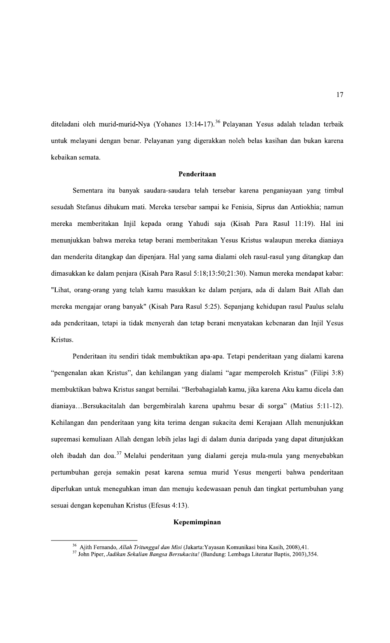diteladani oleh murid-murid-Nya (Yohanes 13:14-17).<sup>36</sup> Pelayanan Yesus adalah teladan terbaik untuk melayani dengan benar. Pelayanan yang digerakkan noleh belas kasihan dan bukan karena kebaikan semata.

### Penderitaan

Sementara itu banyak saudara-saudara telah tersebar karena penganiayaan yang timbul sesudah Stefanus dihukum mati. Mereka tersebar sampai ke Fenisia, Siprus dan Antiokhia; namun mereka memberitakan Injil kepada orang Yahudi saja (Kisah Para Rasul 11:19). Hal ini menunjukkan bahwa mereka tetap berani memberitakan Yesus Kristus walaupun mereka dianiaya dan menderita ditangkap dan dipenjara. Hal yang sama dialami oleh rasul-rasul yang ditangkap dan dimasukkan ke dalam penjara (Kisah Para Rasul 5:18;13:50;21:30). Namun mereka mendapat kabar: "Lihat, orang-orang yang telah kamu masukkan ke dalam penjara, ada di dalam Bait Allah dan mereka mengajar orang banyak" (Kisah Para Rasul 5:25). Sepanjang kehidupan rasul Paulus selalu ada penderitaan, tetapi ia tidak menyerah dan tetap berani menyatakan kebenaran dan Injil Yesus Kristus.

Penderitaan itu sendiri tidak membuktikan apa-apa. Tetapi penderitaan yang dialami karena "pengenalan akan Kristus", dan kehilangan yang dialami "agar memperoleh Kristus" (Filipi 3:8) membuktikan bahwa Kristus sangat bernilai. "Berbahagialah kamu, jika karena Aku kamu dicela dan dianiaya...Bersukacitalah dan bergembiralah karena upahmu besar di sorga" (Matius 5:11-12). Kehilangan dan penderitaan yang kita terima dengan sukacita demi Kerajaan Allah menunjukkan supremasi kemuliaan Allah dengan lebih jelas lagi di dalam dunia daripada yang dapat ditunjukkan oleh ibadah dan doa.<sup>37</sup> Melalui penderitaan yang dialami gereja mula-mula yang menyebabkan pertumbuhan gereja semakin pesat karena semua murid Yesus mengerti bahwa penderitaan diperlukan untuk meneguhkan iman dan menuju kedewasaan penuh dan tingkat pertumbuhan yang sesuai dengan kepenuhan Kristus (Efesus 4:13).

#### Kepemimpinan

<sup>&</sup>lt;sup>36</sup> Ajith Fernando, *Allah Tritunggal dan Misi* (Jakarta: Yayasan Komunikasi bina Kasih, 2008),41.

<sup>&</sup>lt;sup>37</sup> John Piper, Jadikan Sekalian Bangsa Bersukacita! (Bandung: Lembaga Literatur Baptis, 2003), 354.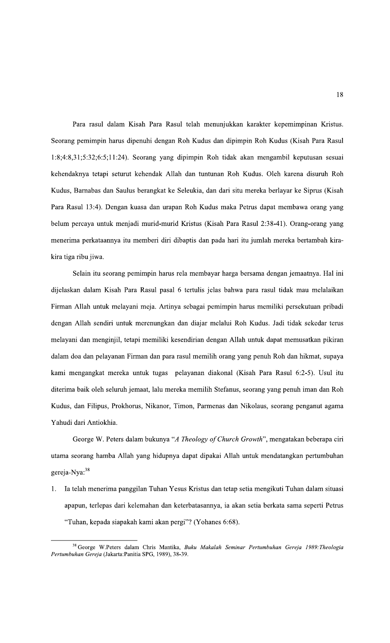Para rasul dalam Kisah Para Rasul telah menunjukkan karakter kepemimpinan Kristus. Seorang pemimpin harus dipenuhi dengan Roh Kudus dan dipimpin Roh Kudus (Kisah Para Rasul 1:8;4:8,31;5:32;6:5;11:24). Seorang yang dipimpin Roh tidak akan mengambil keputusan sesuai kehendaknya tetapi seturut kehendak Allah dan tuntunan Roh Kudus. Oleh karena disuruh Roh Kudus, Barnabas dan Saulus berangkat ke Seleukia, dan dari situ mereka berlayar ke Siprus (Kisah Para Rasul 13:4). Dengan kuasa dan urapan Roh Kudus maka Petrus dapat membawa orang yang belum percaya untuk menjadi murid-murid Kristus (Kisah Para Rasul 2:38-41). Orang-orang yang menerima perkataannya itu memberi diri dibaptis dan pada hari itu jumlah mereka bertambah kirakira tiga ribu jiwa.

Selain itu seorang pemimpin harus rela membayar harga bersama dengan jemaatnya. Hal ini dijelaskan dalam Kisah Para Rasul pasal 6 tertulis jelas bahwa para rasul tidak mau melalaikan Firman Allah untuk melayani meja. Artinya sebagai pemimpin harus memiliki persekutuan pribadi dengan Allah sendiri untuk merenungkan dan diajar melalui Roh Kudus. Jadi tidak sekedar terus melayani dan menginjil, tetapi memiliki kesendirian dengan Allah untuk dapat memusatkan pikiran dalam doa dan pelayanan Firman dan para rasul memilih orang yang penuh Roh dan hikmat, supaya kami mengangkat mereka untuk tugas pelayanan diakonal (Kisah Para Rasul 6:2-5). Usul itu diterima baik oleh seluruh jemaat, lalu mereka memilih Stefanus, seorang yang penuh iman dan Roh Kudus, dan Filipus, Prokhorus, Nikanor, Timon, Parmenas dan Nikolaus, seorang penganut agama Yahudi dari Antiokhia.

George W. Peters dalam bukunya "A Theology of Church Growth", mengatakan beberapa ciri utama seorang hamba Allah yang hidupnya dapat dipakai Allah untuk mendatangkan pertumbuhan gereja-Nya:<sup>38</sup>

Ia telah menerima panggilan Tuhan Yesus Kristus dan tetap setia mengikuti Tuhan dalam situasi  $1<sup>1</sup>$ apapun, terlepas dari kelemahan dan keterbatasannya, ia akan setia berkata sama seperti Petrus "Tuhan, kepada siapakah kami akan pergi"? (Yohanes 6:68).

<sup>&</sup>lt;sup>38</sup> George W.Peters dalam Chris Mantika, Buku Makalah Seminar Pertumbuhan Gereja 1989: Theologia Pertumbuhan Gereja (Jakarta: Panitia SPG, 1989), 38-39.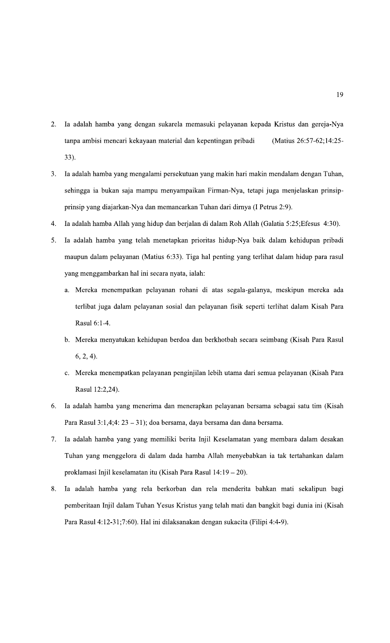- Ia adalah hamba yang dengan sukarela memasuki pelayanan kepada Kristus dan gereja-Nya 2. tanpa ambisi mencari kekayaan material dan kepentingan pribadi (Matius 26:57-62;14:25- $33).$
- Ia adalah hamba yang mengalami persekutuan yang makin hari makin mendalam dengan Tuhan,  $3.$ sehingga ia bukan saja mampu menyampaikan Firman-Nya, tetapi juga menjelaskan prinsipprinsip yang diajarkan-Nya dan memancarkan Tuhan dari dirnya (I Petrus 2:9).
- $4.$ Ia adalah hamba Allah yang hidup dan berjalan di dalam Roh Allah (Galatia 5:25; Efesus 4:30).
- 5. Ia adalah hamba yang telah menetapkan prioritas hidup-Nya baik dalam kehidupan pribadi maupun dalam pelayanan (Matius 6:33). Tiga hal penting yang terlihat dalam hidup para rasul yang menggambarkan hal ini secara nyata, ialah:
	- a. Mereka menempatkan pelayanan rohani di atas segala-galanya, meskipun mereka ada terlibat juga dalam pelayanan sosial dan pelayanan fisik seperti terlihat dalam Kisah Para Rasul 6:1-4.
	- b. Mereka menyatukan kehidupan berdoa dan berkhotbah secara seimbang (Kisah Para Rasul  $6, 2, 4$ ).
	- c. Mereka menempatkan pelayanan penginjilan lebih utama dari semua pelayanan (Kisah Para Rasul 12:2,24).
- Ia adalah hamba yang menerima dan menerapkan pelayanan bersama sebagai satu tim (Kisah 6. Para Rasul 3:1,4;4: 23 - 31); doa bersama, daya bersama dan dana bersama.
- Ia adalah hamba yang yang memiliki berita Injil Keselamatan yang membara dalam desakan 7. Tuhan yang menggelora di dalam dada hamba Allah menyebabkan ia tak tertahankan dalam proklamasi Injil keselamatan itu (Kisah Para Rasul 14:19 – 20).
- Ia adalah hamba yang rela berkorban dan rela menderita bahkan mati sekalipun bagi  $8<sup>1</sup>$ pemberitaan Injil dalam Tuhan Yesus Kristus yang telah mati dan bangkit bagi dunia ini (Kisah Para Rasul 4:12-31;7:60). Hal ini dilaksanakan dengan sukacita (Filipi 4:4-9).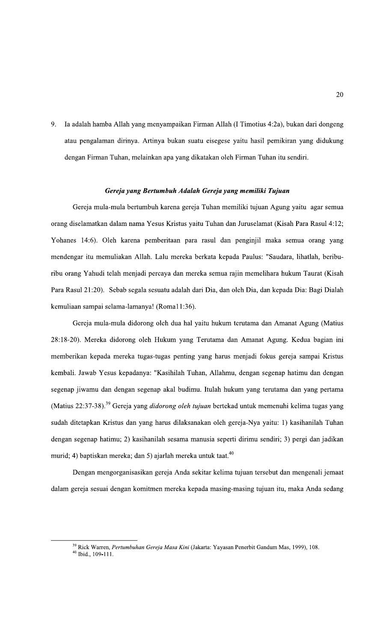9. Ia adalah hamba Allah yang menyampaikan Firman Allah (I Timotius 4:2a), bukan dari dongeng atau pengalaman dirinya. Artinya bukan suatu eisegese yaitu hasil pemikiran yang didukung dengan Firman Tuhan, melainkan apa yang dikatakan oleh Firman Tuhan itu sendiri.

## Gereja yang Bertumbuh Adalah Gereja yang memiliki Tujuan

Gereja mula-mula bertumbuh karena gereja Tuhan memiliki tujuan Agung yaitu agar semua orang diselamatkan dalam nama Yesus Kristus yaitu Tuhan dan Juruselamat (Kisah Para Rasul 4:12; Yohanes 14:6). Oleh karena pemberitaan para rasul dan penginjil maka semua orang yang mendengar itu memuliakan Allah. Lalu mereka berkata kepada Paulus: "Saudara, lihatlah, beriburibu orang Yahudi telah menjadi percaya dan mereka semua rajin memelihara hukum Taurat (Kisah Para Rasul 21:20). Sebab segala sesuatu adalah dari Dia, dan oleh Dia, dan kepada Dia: Bagi Dialah kemuliaan sampai selama-lamanya! (Roma11:36).

Gereja mula-mula didorong oleh dua hal yaitu hukum terutama dan Amanat Agung (Matius 28:18-20). Mereka didorong oleh Hukum yang Terutama dan Amanat Agung. Kedua bagian ini memberikan kepada mereka tugas-tugas penting yang harus menjadi fokus gereja sampai Kristus kembali. Jawab Yesus kepadanya: "Kasihilah Tuhan, Allahmu, dengan segenap hatimu dan dengan segenap jiwamu dan dengan segenap akal budimu. Itulah hukum yang terutama dan yang pertama (Matius 22:37-38).<sup>39</sup> Gereja yang *didorong oleh tujuan* bertekad untuk memenuhi kelima tugas yang sudah ditetapkan Kristus dan yang harus dilaksanakan oleh gereja-Nya yaitu: 1) kasihanilah Tuhan dengan segenap hatimu; 2) kasihanilah sesama manusia seperti dirimu sendiri; 3) pergi dan jadikan murid; 4) baptiskan mereka; dan 5) ajarlah mereka untuk taat.<sup>40</sup>

Dengan mengorganisasikan gereja Anda sekitar kelima tujuan tersebut dan mengenali jemaat dalam gereja sesuai dengan komitmen mereka kepada masing-masing tujuan itu, maka Anda sedang

<sup>&</sup>lt;sup>39</sup> Rick Warren, Pertumbuhan Gereja Masa Kini (Jakarta: Yayasan Penerbit Gandum Mas, 1999), 108.  $40$  Ibid., 109-111.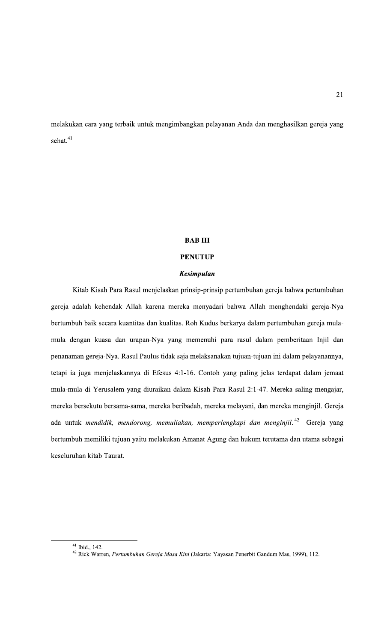melakukan cara yang terbaik untuk mengimbangkan pelayanan Anda dan menghasilkan gereja yang sehat.<sup>41</sup>

## **BABIII**

## **PENUTUP**

### **Kesimpulan**

Kitab Kisah Para Rasul menjelaskan prinsip-prinsip pertumbuhan gereja bahwa pertumbuhan gereja adalah kehendak Allah karena mereka menyadari bahwa Allah menghendaki gereja-Nya bertumbuh baik secara kuantitas dan kualitas. Roh Kudus berkarya dalam pertumbuhan gereja mulamula dengan kuasa dan urapan-Nya yang memenuhi para rasul dalam pemberitaan Injil dan penanaman gereja-Nya. Rasul Paulus tidak saja melaksanakan tujuan-tujuan ini dalam pelayanannya, tetapi ia juga menjelaskannya di Efesus 4:1-16. Contoh yang paling jelas terdapat dalam jemaat mula-mula di Yerusalem yang diuraikan dalam Kisah Para Rasul 2:1-47. Mereka saling mengajar, mereka bersekutu bersama-sama, mereka beribadah, mereka melayani, dan mereka menginjil. Gereja ada untuk mendidik, mendorong, memuliakan, memperlengkapi dan menginjil.<sup>42</sup> Gereja yang bertumbuh memiliki tujuan yaitu melakukan Amanat Agung dan hukum terutama dan utama sebagai keseluruhan kitab Taurat.

 $41$  Ibid., 142.

<sup>&</sup>lt;sup>42</sup> Rick Warren, Pertumbuhan Gereja Masa Kini (Jakarta: Yayasan Penerbit Gandum Mas, 1999), 112.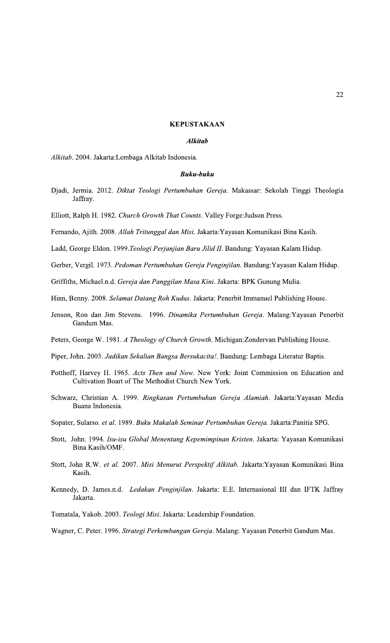#### **KEPUSTAKAAN**

#### **Alkitab**

Alkitab. 2004. Jakarta:Lembaga Alkitab Indonesia.

#### **Buku-buku**

Djadi, Jermia. 2012. Diktat Teologi Pertumbuhan Gereja. Makassar: Sekolah Tinggi Theologia Jaffray.

Elliott, Ralph H. 1982. Church Growth That Counts. Valley Forge: Judson Press.

Fernando, Ajith. 2008. Allah Tritunggal dan Misi. Jakarta: Yayasan Komunikasi Bina Kasih.

Ladd, George Eldon. 1999. Teologi Perjanjian Baru Jilid II. Bandung: Yayasan Kalam Hidup.

Gerber, Vergil. 1973. Pedoman Pertumbuhan Gereja Penginjilan. Bandung: Yayasan Kalam Hidup.

Griffiths, Michael.n.d. Gereja dan Panggilan Masa Kini. Jakarta: BPK Gunung Mulia.

Hinn, Benny. 2008. Selamat Datang Roh Kudus. Jakarta: Penerbit Immanuel Publishing House.

Jenson, Ron dan Jim Stevens. 1996. Dinamika Pertumbuhan Gereja. Malang: Yayasan Penerbit Gandum Mas.

Peters, George W. 1981. A Theology of Church Growth. Michigan: Zondervan Publishing House.

- Piper, John. 2003. Jadikan Sekalian Bangsa Bersukacita!. Bandung: Lembaga Literatur Baptis.
- Potthoff, Harvey H. 1965. Acts Then and Now. New York: Joint Commission on Education and Cultivation Boart of The Methodist Church New York.
- Schwarz, Christian A. 1999. Ringkasan Pertumbuhan Gereja Alamiah. Jakarta: Yayasan Media Buana Indonesia.
- Sopater, Sularso. et al. 1989. Buku Makalah Seminar Pertumbuhan Gereja. Jakarta:Panitia SPG.
- Stott, John. 1994. Isu-isu Global Menentang Kepemimpinan Kristen. Jakarta: Yayasan Komunikasi Bina Kasih/OMF.
- Stott, John R.W. et al. 2007. Misi Menurut Perspektif Alkitab. Jakarta: Yayasan Komunikasi Bina Kasih.
- Kennedy, D. James.n.d. Ledakan Penginjilan. Jakarta: E.E. Internasional III dan IFTK Jaffray Jakarta.

Tomatala, Yakob. 2003. Teologi Misi. Jakarta: Leadership Foundation.

Wagner, C. Peter. 1996. Strategi Perkembangan Gereja. Malang: Yayasan Penerbit Gandum Mas.